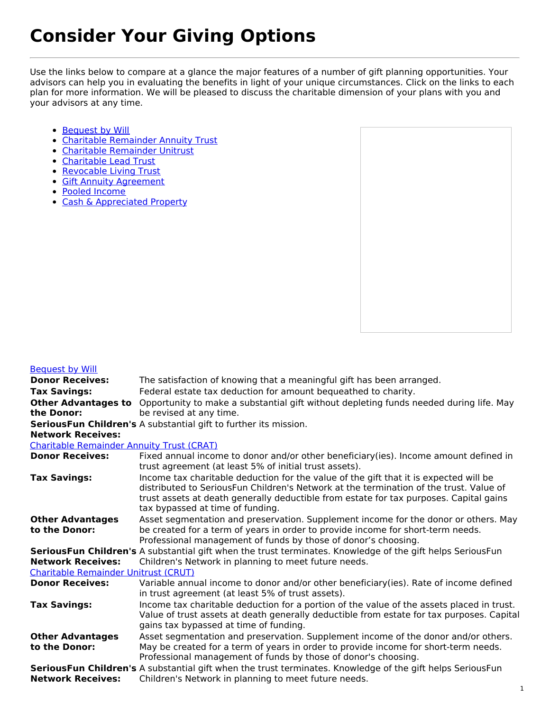## **Consider Your Giving Options**

Use the links below to compare at a glance the major features of a number of gift planning opportunities. Your advisors can help you in evaluating the benefits in light of your unique circumstances. Click on the links to each plan for more information. We will be pleased to discuss the charitable dimension of your plans with you and your advisors at any time.

- [Bequest](#bw) by Will
- Charitable [Remainder](#crat) Annuity Trust
- Charitable [Remainder](#crut) Unitrust
- [Charitable](#clt) Lead Trust
- [Revocable](#rlt) Living Trust
- **Gift Annuity [Agreement](#gaa)**
- Pooled [Income](#pif)
- Cash & [Appreciated](#cash) Property



## [Bequest](https://seriousfunnetwork.givingplan.net/node/3118) by Will

| <b>Donor Receives:</b>                                                                                     | The satisfaction of knowing that a meaningful gift has been arranged.                                                                                                                                                                                                                                         |
|------------------------------------------------------------------------------------------------------------|---------------------------------------------------------------------------------------------------------------------------------------------------------------------------------------------------------------------------------------------------------------------------------------------------------------|
| <b>Tax Savings:</b>                                                                                        | Federal estate tax deduction for amount bequeathed to charity.                                                                                                                                                                                                                                                |
| <b>Other Advantages to</b>                                                                                 | Opportunity to make a substantial gift without depleting funds needed during life. May                                                                                                                                                                                                                        |
| the Donor:                                                                                                 | be revised at any time.                                                                                                                                                                                                                                                                                       |
|                                                                                                            | SeriousFun Children's A substantial gift to further its mission.                                                                                                                                                                                                                                              |
| <b>Network Receives:</b>                                                                                   |                                                                                                                                                                                                                                                                                                               |
| <b>Charitable Remainder Annuity Trust (CRAT)</b>                                                           |                                                                                                                                                                                                                                                                                                               |
| <b>Donor Receives:</b>                                                                                     | Fixed annual income to donor and/or other beneficiary(ies). Income amount defined in<br>trust agreement (at least 5% of initial trust assets).                                                                                                                                                                |
| <b>Tax Savings:</b>                                                                                        | Income tax charitable deduction for the value of the gift that it is expected will be<br>distributed to SeriousFun Children's Network at the termination of the trust. Value of<br>trust assets at death generally deductible from estate for tax purposes. Capital gains<br>tax bypassed at time of funding. |
| <b>Other Advantages</b><br>to the Donor:                                                                   | Asset segmentation and preservation. Supplement income for the donor or others. May<br>be created for a term of years in order to provide income for short-term needs.<br>Professional management of funds by those of donor's choosing.                                                                      |
| SeriousFun Children's A substantial gift when the trust terminates. Knowledge of the gift helps SeriousFun |                                                                                                                                                                                                                                                                                                               |
| <b>Network Receives:</b>                                                                                   | Children's Network in planning to meet future needs.                                                                                                                                                                                                                                                          |
| <b>Charitable Remainder Unitrust (CRUT)</b>                                                                |                                                                                                                                                                                                                                                                                                               |
| <b>Donor Receives:</b>                                                                                     | Variable annual income to donor and/or other beneficiary(ies). Rate of income defined<br>in trust agreement (at least 5% of trust assets).                                                                                                                                                                    |
| <b>Tax Savings:</b>                                                                                        | Income tax charitable deduction for a portion of the value of the assets placed in trust.<br>Value of trust assets at death generally deductible from estate for tax purposes. Capital<br>gains tax bypassed at time of funding.                                                                              |
| <b>Other Advantages</b>                                                                                    | Asset segmentation and preservation. Supplement income of the donor and/or others.                                                                                                                                                                                                                            |
| to the Donor:                                                                                              | May be created for a term of years in order to provide income for short-term needs.                                                                                                                                                                                                                           |
|                                                                                                            | Professional management of funds by those of donor's choosing.                                                                                                                                                                                                                                                |
|                                                                                                            | SeriousFun Children's A substantial gift when the trust terminates. Knowledge of the gift helps SeriousFun                                                                                                                                                                                                    |
| <b>Network Receives:</b>                                                                                   | Children's Network in planning to meet future needs.                                                                                                                                                                                                                                                          |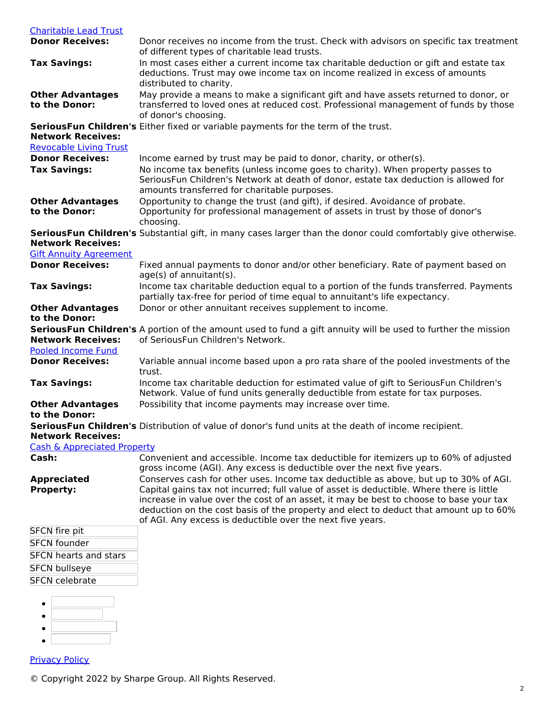| <b>Charitable Lead Trust</b>                                       |                                                                                                                                                                                                                                                                                                                                                                                                                                   |
|--------------------------------------------------------------------|-----------------------------------------------------------------------------------------------------------------------------------------------------------------------------------------------------------------------------------------------------------------------------------------------------------------------------------------------------------------------------------------------------------------------------------|
| <b>Donor Receives:</b>                                             | Donor receives no income from the trust. Check with advisors on specific tax treatment<br>of different types of charitable lead trusts.                                                                                                                                                                                                                                                                                           |
| <b>Tax Savings:</b>                                                | In most cases either a current income tax charitable deduction or gift and estate tax<br>deductions. Trust may owe income tax on income realized in excess of amounts<br>distributed to charity.                                                                                                                                                                                                                                  |
| <b>Other Advantages</b><br>to the Donor:                           | May provide a means to make a significant gift and have assets returned to donor, or<br>transferred to loved ones at reduced cost. Professional management of funds by those<br>of donor's choosing.                                                                                                                                                                                                                              |
| <b>Network Receives:</b><br><b>Revocable Living Trust</b>          | SeriousFun Children's Either fixed or variable payments for the term of the trust.                                                                                                                                                                                                                                                                                                                                                |
| <b>Donor Receives:</b>                                             | Income earned by trust may be paid to donor, charity, or other(s).                                                                                                                                                                                                                                                                                                                                                                |
| <b>Tax Savings:</b>                                                | No income tax benefits (unless income goes to charity). When property passes to<br>SeriousFun Children's Network at death of donor, estate tax deduction is allowed for<br>amounts transferred for charitable purposes.                                                                                                                                                                                                           |
| <b>Other Advantages</b><br>to the Donor:                           | Opportunity to change the trust (and gift), if desired. Avoidance of probate.<br>Opportunity for professional management of assets in trust by those of donor's<br>choosing.                                                                                                                                                                                                                                                      |
| <b>Network Receives:</b><br><b>Gift Annuity Agreement</b>          | SeriousFun Children's Substantial gift, in many cases larger than the donor could comfortably give otherwise.                                                                                                                                                                                                                                                                                                                     |
| <b>Donor Receives:</b>                                             | Fixed annual payments to donor and/or other beneficiary. Rate of payment based on<br>age(s) of annuitant(s).                                                                                                                                                                                                                                                                                                                      |
| <b>Tax Savings:</b>                                                | Income tax charitable deduction equal to a portion of the funds transferred. Payments<br>partially tax-free for period of time equal to annuitant's life expectancy.                                                                                                                                                                                                                                                              |
| <b>Other Advantages</b><br>to the Donor:                           | Donor or other annuitant receives supplement to income.                                                                                                                                                                                                                                                                                                                                                                           |
| <b>Network Receives:</b><br><b>Pooled Income Fund</b>              | SeriousFun Children's A portion of the amount used to fund a gift annuity will be used to further the mission<br>of SeriousFun Children's Network.                                                                                                                                                                                                                                                                                |
| <b>Donor Receives:</b>                                             | Variable annual income based upon a pro rata share of the pooled investments of the<br>trust.                                                                                                                                                                                                                                                                                                                                     |
| <b>Tax Savings:</b>                                                | Income tax charitable deduction for estimated value of gift to SeriousFun Children's<br>Network. Value of fund units generally deductible from estate for tax purposes.                                                                                                                                                                                                                                                           |
| <b>Other Advantages</b><br>to the Donor:                           | Possibility that income payments may increase over time.                                                                                                                                                                                                                                                                                                                                                                          |
| <b>Network Receives:</b><br><b>Cash &amp; Appreciated Property</b> | SeriousFun Children's Distribution of value of donor's fund units at the death of income recipient.                                                                                                                                                                                                                                                                                                                               |
| Cash:                                                              | Convenient and accessible. Income tax deductible for itemizers up to 60% of adjusted<br>gross income (AGI). Any excess is deductible over the next five years.                                                                                                                                                                                                                                                                    |
| <b>Appreciated</b><br><b>Property:</b>                             | Conserves cash for other uses. Income tax deductible as above, but up to 30% of AGI.<br>Capital gains tax not incurred; full value of asset is deductible. Where there is little<br>increase in value over the cost of an asset, it may be best to choose to base your tax<br>deduction on the cost basis of the property and elect to deduct that amount up to 60%<br>of AGI. Any excess is deductible over the next five years. |
| <b>SFCN</b> fire pit                                               |                                                                                                                                                                                                                                                                                                                                                                                                                                   |
| <b>SFCN founder</b>                                                |                                                                                                                                                                                                                                                                                                                                                                                                                                   |
| <b>SFCN hearts and stars</b>                                       |                                                                                                                                                                                                                                                                                                                                                                                                                                   |
| <b>SFCN bullseye</b>                                               |                                                                                                                                                                                                                                                                                                                                                                                                                                   |
| <b>SFCN</b> celebrate                                              |                                                                                                                                                                                                                                                                                                                                                                                                                                   |
|                                                                    |                                                                                                                                                                                                                                                                                                                                                                                                                                   |
| <b>Privacy Policy</b>                                              |                                                                                                                                                                                                                                                                                                                                                                                                                                   |

© Copyright 2022 by Sharpe Group. All Rights Reserved.